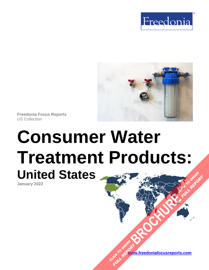



**Freedonia Focus Reports** US Collection

# **Consumer Water Treatment Products: United States [BROCHURE](https://www.freedoniafocusreports.com/Consumer-Water-Treatment-United-States-FF90023/?progid=89541) CLICK TO ORDER FULL REPORT**

**January 2022**

**[www.freedoniafocusreports.com](https://www.freedoniafocusreports.com/redirect.asp?progid=89534&url=/)** CLICK TO ORDER **FULL REPORT**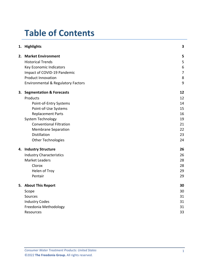# **Table of Contents**

|    | 1. Highlights                       | 3                |
|----|-------------------------------------|------------------|
|    | 2. Market Environment               | 5                |
|    | <b>Historical Trends</b>            | 5                |
|    | Key Economic Indicators             | $\boldsymbol{6}$ |
|    | Impact of COVID-19 Pandemic         | $\overline{7}$   |
|    | <b>Product Innovation</b>           | 8                |
|    | Environmental & Regulatory Factors  | 9                |
| З. | <b>Segmentation &amp; Forecasts</b> | 12               |
|    | Products                            | 12               |
|    | Point-of-Entry Systems              | 14               |
|    | Point-of-Use Systems                | 15               |
|    | <b>Replacement Parts</b>            | 16               |
|    | <b>System Technology</b>            | 19               |
|    | <b>Conventional Filtration</b>      | 21               |
|    | <b>Membrane Separation</b>          | 22               |
|    | <b>Distillation</b>                 | 23               |
|    | <b>Other Technologies</b>           | 24               |
|    | 4. Industry Structure               | 26               |
|    | <b>Industry Characteristics</b>     | 26               |
|    | <b>Market Leaders</b>               | 28               |
|    | Clorox                              | 28               |
|    | Helen of Troy                       | 29               |
|    | Pentair                             | 29               |
|    | 5. About This Report                | 30               |
|    | Scope                               | 30               |
|    | Sources                             | 31               |
|    | <b>Industry Codes</b>               | 31               |
|    | Freedonia Methodology               | 31               |
|    | Resources                           | 33               |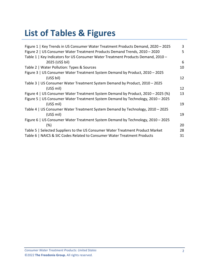# **List of Tables & Figures**

| Figure 1   Key Trends in US Consumer Water Treatment Products Demand, 2020 - 2025 | 3  |
|-----------------------------------------------------------------------------------|----|
| Figure 2   US Consumer Water Treatment Products Demand Trends, 2010 - 2020        | 5  |
| Table 1   Key Indicators for US Consumer Water Treatment Products Demand, 2010 -  |    |
| 2025 (US\$ bil)                                                                   | 6  |
| Table 2   Water Pollution: Types & Sources                                        | 10 |
| Figure 3   US Consumer Water Treatment System Demand by Product, 2010 - 2025      |    |
| (US\$ bil)                                                                        | 12 |
| Table 3   US Consumer Water Treatment System Demand by Product, 2010 - 2025       |    |
| $(US$)$ mil)                                                                      | 12 |
| Figure 4   US Consumer Water Treatment System Demand by Product, 2010 – 2025 (%)  | 13 |
| Figure 5   US Consumer Water Treatment System Demand by Technology, 2010 - 2025   |    |
| $(US$)$ mil)                                                                      | 19 |
| Table 4   US Consumer Water Treatment System Demand by Technology, 2010 - 2025    |    |
| $(US$)$ mil)                                                                      | 19 |
| Figure 6   US Consumer Water Treatment System Demand by Technology, 2010 - 2025   |    |
| (%)                                                                               | 20 |
| Table 5   Selected Suppliers to the US Consumer Water Treatment Product Market    | 28 |
| Table 6   NAICS & SIC Codes Related to Consumer Water Treatment Products          | 31 |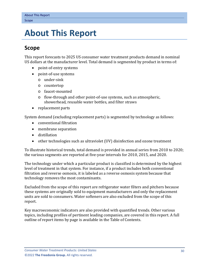# <span id="page-3-0"></span>**5. About This Report**

## <span id="page-3-1"></span>**Scope**

This report forecasts to 2025 US consumer water treatment products demand in nominal US dollars at the manufacturer level. Total demand is segmented by product in terms of:

- point-of-entry systems
- point-of-use systems
	- o under-sink
	- o countertop
	- o faucet-mounted
	- o flow-through and other point-of-use systems, such as atmospheric, showerhead, reusable water bottles, and filter straws
- replacement parts

System demand (excluding replacement parts) is segmented by technology as follows:

- conventional filtration
- membrane separation
- distillation
- other technologies such as ultraviolet (UV) disinfection and ozone treatment

To illustrate historical trends, total demand is provided in annual series from 2010 to 2020; the various segments are reported at five-year intervals for 2010, 2015, and 2020.

The technology under which a particular product is classified is determined by the highest level of treatment in that system. For instance, if a product includes both conventional filtration and reverse osmosis, it is labeled as a reverse osmosis system because that technology removes the most contaminants.

Excluded from the scope of this report are refrigerator water filters and pitchers because these systems are originally sold to equipment manufacturers and only the replacement units are sold to consumers. Water softeners are also excluded from the scope of this report.

Key macroeconomic indicators are also provided with quantified trends. Other various topics, including profiles of pertinent leading companies, are covered in this report. A full outline of report items by page is available in the Table of Contents.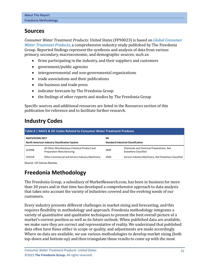## <span id="page-4-0"></span>**Sources**

*Consumer Water Treatment Products: United States* (FF90023) is based on *[Global Consumer](http://www.freedoniagroup.com/DocumentDetails.aspx?ReferrerId=FL-FOCUS&studyid=4302)  [Water Treatment Products,](http://www.freedoniagroup.com/DocumentDetails.aspx?ReferrerId=FL-FOCUS&studyid=4302)* a comprehensive industry study published by The Freedonia Group. Reported findings represent the synthesis and analysis of data from various primary, secondary, macroeconomic, and demographic sources, such as:

- firms participating in the industry, and their suppliers and customers
- government/public agencies
- intergovernmental and non-governmental organizations
- trade associations and their publications
- the business and trade press
- indicator forecasts by The Freedonia Group
- the findings of other reports and studies by The Freedonia Group

Specific sources and additional resources are listed in the Resources section of this publication for reference and to facilitate further research.

## <span id="page-4-1"></span>**Industry Codes**

<span id="page-4-3"></span>

| Table 6   NAICS & SIC Codes Related to Consumer Water Treatment Products |                                                                                  |      |                                                                  |  |  |  |  |
|--------------------------------------------------------------------------|----------------------------------------------------------------------------------|------|------------------------------------------------------------------|--|--|--|--|
|                                                                          | NAICS/SCIAN 2017<br>North American Industry Classification System                |      | <b>SIC</b><br><b>Standard Industrial Classification</b>          |  |  |  |  |
| 325998                                                                   | All Other Miscellaneous Chemical Product and<br><b>Preparation Manufacturing</b> | 2899 | Chemicals and Chemical Preparations, Not<br>Elsewhere Classified |  |  |  |  |
| 333318                                                                   | Other Commercial and Service Industry Machinery                                  | 3589 | Service Industry Machinery, Not Elsewhere Classified             |  |  |  |  |

Source: US Census Bureau

## <span id="page-4-2"></span>**Freedonia Methodology**

The Freedonia Group, a subsidiary of MarketResearch.com, has been in business for more than 30 years and in that time has developed a comprehensive approach to data analysis that takes into account the variety of industries covered and the evolving needs of our customers.

Every industry presents different challenges in market sizing and forecasting, and this requires flexibility in methodology and approach. Freedonia methodology integrates a variety of quantitative and qualitative techniques to present the best overall picture of a market's current position as well as its future outlook: When published data are available, we make sure they are correct and representative of reality. We understand that published data often have flaws either in scope or quality, and adjustments are made accordingly. Where no data are available, we use various methodologies to develop market sizing (both top-down and bottom-up) and then triangulate those results to come up with the most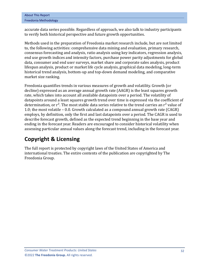| <b>About This Report</b> |  |
|--------------------------|--|
| Freedonia Methodology    |  |

accurate data series possible. Regardless of approach, we also talk to industry participants to verify both historical perspective and future growth opportunities.

Methods used in the preparation of Freedonia market research include, but are not limited to, the following activities: comprehensive data mining and evaluation, primary research, consensus forecasting and analysis, ratio analysis using key indicators, regression analysis, end use growth indices and intensity factors, purchase power parity adjustments for global data, consumer and end user surveys, market share and corporate sales analysis, product lifespan analysis, product or market life cycle analysis, graphical data modeling, long-term historical trend analysis, bottom-up and top-down demand modeling, and comparative market size ranking.

Freedonia quantifies trends in various measures of growth and volatility. Growth (or decline) expressed as an average annual growth rate (AAGR) is the least squares growth rate, which takes into account all available datapoints over a period. The volatility of datapoints around a least squares growth trend over time is expressed via the coefficient of determination, or  $r^2$ . The most stable data series relative to the trend carries an  $r^2$  value of 1.0; the most volatile – 0.0. Growth calculated as a compound annual growth rate (CAGR) employs, by definition, only the first and last datapoints over a period. The CAGR is used to describe forecast growth, defined as the expected trend beginning in the base year and ending in the forecast year. Readers are encouraged to consider historical volatility when assessing particular annual values along the forecast trend, including in the forecast year.

# **Copyright & Licensing**

The full report is protected by copyright laws of the United States of America and international treaties. The entire contents of the publication are copyrighted by The Freedonia Group.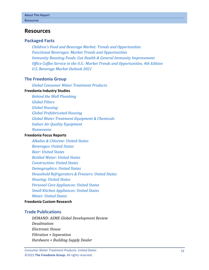#### <span id="page-6-0"></span>**Resources**

#### **Packaged Facts**

*[Children's Food and Beverage Market: Trends and Opportunities](https://www.packagedfacts.com/Children-Food-Beverage-Trends-Opportunities-30750664/?progid=89534) [Functional Beverages: Market Trends and Opportunities](https://www.packagedfacts.com/Functional-Beverages-Trends-Opportunities-30271045/?progid=89534) [Immunity Boosting Foods: Gut Health & General Immunity Improvement](https://www.packagedfacts.com/Immunity-Boosting-Foods-Gut-Health-General-Improvement-14682143/?progid=89534) [Office Coffee Service in the U.S.: Market Trends and Opportunities, 4th Edition](https://www.packagedfacts.com/Office-Coffee-Service-Trends-Opportunities-Edition-13361117/?progid=89534) [U.S. Beverage Market Outlook 2021](https://www.packagedfacts.com/Beverage-Outlook-30069836/?progid=89534)*

#### **The Freedonia Group**

*[Global Consumer Water Treatment Products](http://www.freedoniagroup.com/DocumentDetails.aspx?ReferrerId=FL-FOCUS&studyid=4302)*

#### **[Freedonia Industry Studies](http://www.freedoniagroup.com/Home.aspx?ReferrerId=FL-Focus)**

*[Behind the Wall Plumbing](http://www.freedoniagroup.com/DocumentDetails.aspx?ReferrerId=FL-FOCUS&studyid=4271) [Global Filters](http://www.freedoniagroup.com/DocumentDetails.aspx?ReferrerId=FL-FOCUS&studyid=3711) [Global Housing](http://www.freedoniagroup.com/DocumentDetails.aspx?ReferrerId=FL-FOCUS&studyid=4331) [Global Prefabricated Housing](http://www.freedoniagroup.com/DocumentDetails.aspx?ReferrerId=FL-FOCUS&studyid=3971) [Global Water Treatment Equipment & Chemicals](http://www.freedoniagroup.com/DocumentDetails.aspx?ReferrerId=FL-FOCUS&studyid=3705) [Indoor Air Quality Equipment](http://www.freedoniagroup.com/DocumentDetails.aspx?ReferrerId=FL-FOCUS&studyid=4231) [Nonwovens](http://www.freedoniagroup.com/DocumentDetails.aspx?ReferrerId=FL-FOCUS&studyid=3858)*

#### **[Freedonia Focus Reports](https://www.freedoniafocusreports.com/redirect.asp?progid=89534&url=/)**

*[Alkalies & Chlorine: United States](https://www.freedoniafocusreports.com/Alkalies-Chlorine-United-States-FF35010/?progid=89534) [Beverages: United States](https://www.freedoniafocusreports.com/Beverages-United-States-FF10023/?progid=89534) [Beer: United States](https://www.freedoniafocusreports.com/Beer-United-States-FF10010/?progid=89534) [Bottled Water: United States](https://www.freedoniafocusreports.com/Bottled-Water-United-States-FF10011/?progid=89534) [Construction: United States](https://www.freedoniafocusreports.com/Construction-United-States-FF60054/?progid=89534) [Demographics: United States](https://www.freedoniafocusreports.com/Demographics-United-States-FF95050/?progid=89534) [Household Refrigerators & Freezers: United States](https://www.freedoniafocusreports.com/Household-Refrigerators-Freezers-United-States-FF90028/?progid=89534) [Housing: United States](https://www.freedoniafocusreports.com/Housing-United-States-FF60024/?progid=89534) [Personal Care Appliances: United States](https://www.freedoniafocusreports.com/Personal-Care-Appliances-United-States-FF90018/?progid=89534) [Small Kitchen Appliances: United States](https://www.freedoniafocusreports.com/Small-Kitchen-Appliances-United-States-FF90029/?progid=89534) [Water: United States](https://www.freedoniafocusreports.com/Water-United-States-FF95025/?progid=89534)*

#### **[Freedonia Custom Research](http://www.freedoniagroup.com/CustomResearch.aspx?ReferrerId=FL-Focus)**

#### **Trade Publications**

*DEMAND: ASME Global Development Review Desalination Electronic House Filtration + Separation Hardware + Building Supply Dealer*